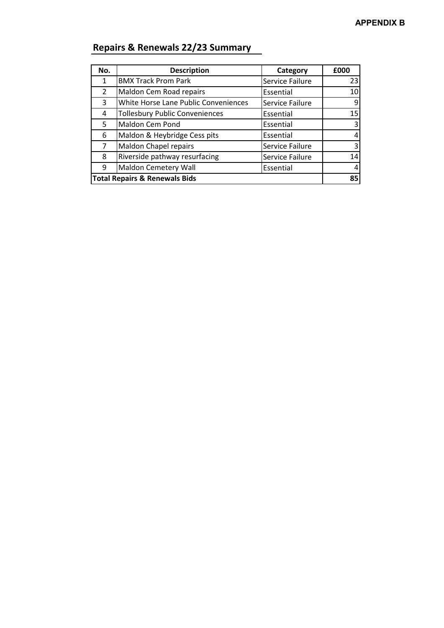| No.                                      | <b>Description</b>                    | Category        | £000 |
|------------------------------------------|---------------------------------------|-----------------|------|
| 1                                        | <b>BMX Track Prom Park</b>            | Service Failure | 23   |
| $\mathcal{P}$                            | Maldon Cem Road repairs               | Essential       | 10   |
| 3                                        | White Horse Lane Public Conveniences  | Service Failure | 9    |
| 4                                        | <b>Tollesbury Public Conveniences</b> | Essential       | 15   |
| 5                                        | Maldon Cem Pond                       | Essential       | 3    |
| 6                                        | Maldon & Heybridge Cess pits          | Essential       |      |
| 7                                        | Maldon Chapel repairs                 | Service Failure | 3    |
| 8                                        | Riverside pathway resurfacing         | Service Failure | 14   |
| 9                                        | <b>Maldon Cemetery Wall</b>           | Essential       |      |
| <b>Total Repairs &amp; Renewals Bids</b> |                                       |                 | 85   |

## **Repairs & Renewals 22/23 Summary**